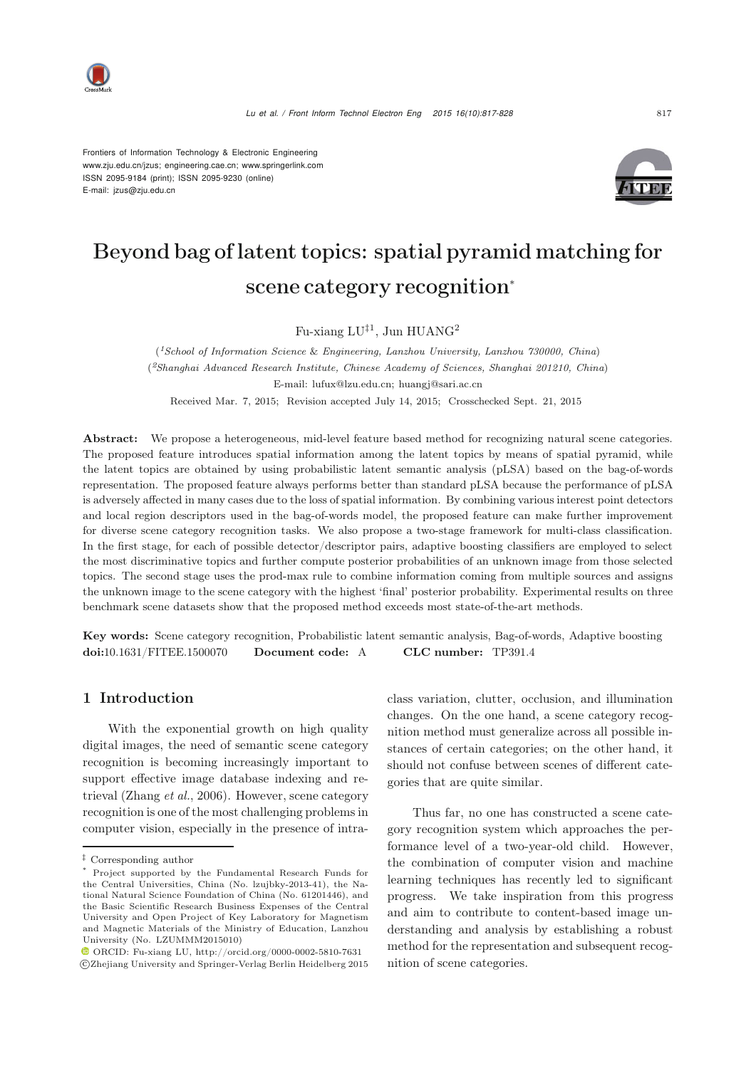

Frontiers of Information Technology & Electronic Engineering www.zju.edu.cn/jzus; engineering.cae.cn; www.springerlink.com ISSN 2095-9184 (print); ISSN 2095-9230 (online) E-mail: jzus@zju.edu.cn



# Beyond bag of latent topics: spatial pyramid matching for scene category recognition<sup>∗</sup>

Fu-xiang  $LU^{\ddagger 1}$ , Jun HUANG<sup>2</sup>

(*1School of Information Science* & *Engineering, Lanzhou University, Lanzhou 730000, China*) (*2Shanghai Advanced Research Institute, Chinese Academy of Sciences, Shanghai 201210, China*) E-mail: lufux@lzu.edu.cn; huangj@sari.ac.cn

Received Mar. 7, 2015; Revision accepted July 14, 2015; Crosschecked Sept. 21, 2015

Abstract: We propose a heterogeneous, mid-level feature based method for recognizing natural scene categories. The proposed feature introduces spatial information among the latent topics by means of spatial pyramid, while the latent topics are obtained by using probabilistic latent semantic analysis (pLSA) based on the bag-of-words representation. The proposed feature always performs better than standard pLSA because the performance of pLSA is adversely affected in many cases due to the loss of spatial information. By combining various interest point detectors and local region descriptors used in the bag-of-words model, the proposed feature can make further improvement for diverse scene category recognition tasks. We also propose a two-stage framework for multi-class classification. In the first stage, for each of possible detector/descriptor pairs, adaptive boosting classifiers are employed to select the most discriminative topics and further compute posterior probabilities of an unknown image from those selected topics. The second stage uses the prod-max rule to combine information coming from multiple sources and assigns the unknown image to the scene category with the highest 'final' posterior probability. Experimental results on three benchmark scene datasets show that the proposed method exceeds most state-of-the-art methods.

Key words: Scene category recognition, Probabilistic latent semantic analysis, Bag-of-words, Adaptive boosting doi:10.1631/FITEE.1500070 Document code: A CLC number: TP391.4

# 1 Introduction

With the exponential growth on high quality digital images, the need of semantic scene category recognition is becoming increasingly important to support effective image database indexing and retrieval [\(Zhang](#page-11-0) *et al.*, [2006](#page-11-0)). However, scene category recognition is one of the most challenging problems in computer vision, especially in the presence of intraclass variation, clutter, occlusion, and illumination changes. On the one hand, a scene category recognition method must generalize across all possible instances of certain categories; on the other hand, it should not confuse between scenes of different categories that are quite similar.

Thus far, no one has constructed a scene category recognition system which approaches the performance level of a two-year-old child. However, the combination of computer vision and machine learning techniques has recently led to significant progress. We take inspiration from this progress and aim to contribute to content-based image understanding and analysis by establishing a robust method for the representation and subsequent recognition of scene categories.

*<sup>‡</sup>* Corresponding author

Project supported by the Fundamental Research Funds for the Central Universities, China (No. lzujbky-2013-41), the National Natural Science Foundation of China (No. 61201446), and the Basic Scientific Research Business Expenses of the Central University and Open Project of Key Laboratory for Magnetism and Magnetic Materials of the Ministry of Education, Lanzhou University (No. LZUMMM2015010)

 $\textcolor{blue}{\bullet}$  ORCID: Fu-xiang LU, http://orcid.org/0000-0002-5810-7631 c Zhejiang University and Springer-Verlag Berlin Heidelberg 2015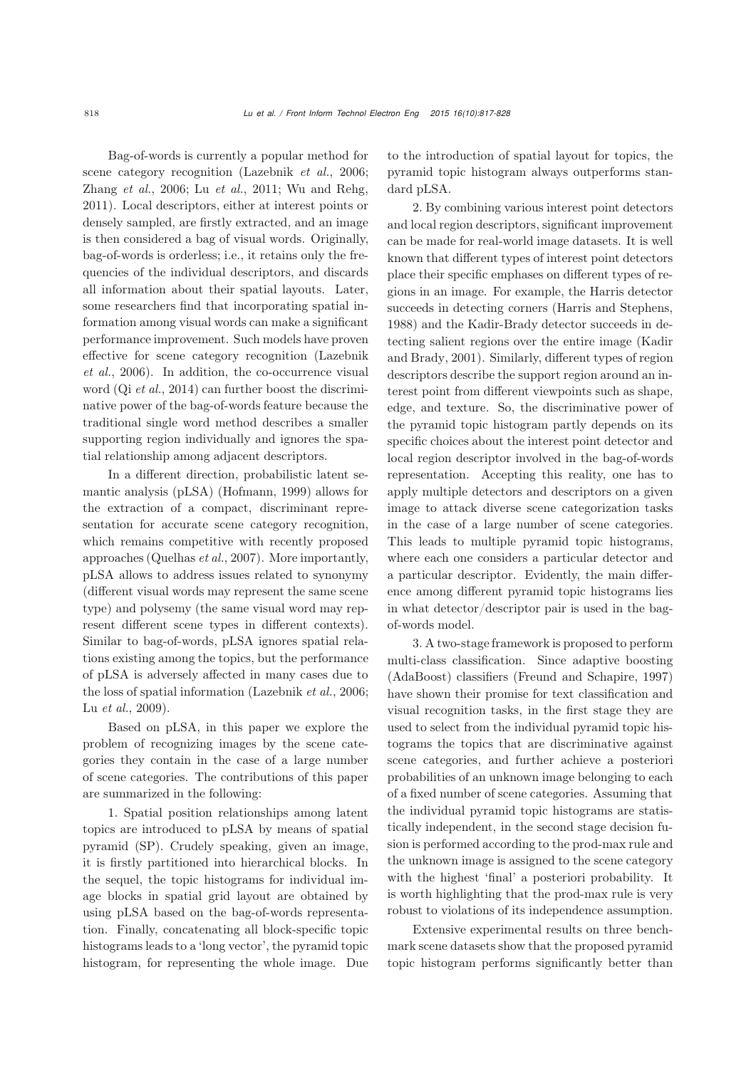Bag-of-words is currently a popular method for scene category recognition [\(Lazebnik](#page-10-0) *et al.*, [2006;](#page-10-0) [Zhang](#page-11-0) *et al.*, [2006](#page-11-0); Lu *[et al.](#page-11-1)*, [2011;](#page-11-1) [Wu and Rehg](#page-11-2), [2011](#page-11-2)). Local descriptors, either at interest points or densely sampled, are firstly extracted, and an image is then considered a bag of visual words. Originally, bag-of-words is orderless; i.e., it retains only the frequencies of the individual descriptors, and discards all information about their spatial layouts. Later, some researchers find that incorporating spatial information among visual words can make a significant performance improvement. Such models have proven effec[tive](#page-10-0) [for](#page-10-0) [scene](#page-10-0) [category](#page-10-0) [recognition](#page-10-0) [\(](#page-10-0)Lazebnik *et al.*, [2006\)](#page-10-0). In addition, the co-occurrence visual word (Qi *[et al.](#page-11-3)*, [2014\)](#page-11-3) can further boost the discriminative power of the bag-of-words feature because the traditional single word method describes a smaller supporting region individually and ignores the spatial relationship among adjacent descriptors.

In a different direction, probabilistic latent semantic analysis (pLSA) [\(Hofmann](#page-10-1), [1999\)](#page-10-1) allows for the extraction of a compact, discriminant representation for accurate scene category recognition, which remains competitive with recently proposed approaches [\(Quelhas](#page-11-4) *et al.*, [2007\)](#page-11-4). More importantly, pLSA allows to address issues related to synonymy (different visual words may represent the same scene type) and polysemy (the same visual word may represent different scene types in different contexts). Similar to bag-of-words, pLSA ignores spatial relations existing among the topics, but the performance of pLSA is adversely affected in many cases due to the loss of spatial information [\(Lazebnik](#page-10-0) *et al.*, [2006;](#page-10-0) Lu *[et al.](#page-11-5)*, [2009](#page-11-5)).

Based on pLSA, in this paper we explore the problem of recognizing images by the scene categories they contain in the case of a large number of scene categories. The contributions of this paper are summarized in the following:

1. Spatial position relationships among latent topics are introduced to pLSA by means of spatial pyramid (SP). Crudely speaking, given an image, it is firstly partitioned into hierarchical blocks. In the sequel, the topic histograms for individual image blocks in spatial grid layout are obtained by using pLSA based on the bag-of-words representation. Finally, concatenating all block-specific topic histograms leads to a 'long vector', the pyramid topic histogram, for representing the whole image. Due to the introduction of spatial layout for topics, the pyramid topic histogram always outperforms standard pLSA.

2. By combining various interest point detectors and local region descriptors, significant improvement can be made for real-world image datasets. It is well known that different types of interest point detectors place their specific emphases on different types of regions in an image. For example, the Harris detector succeeds in detecting corners [\(Harris and Stephens](#page-10-2), [1988](#page-10-2)) and the Kadir-Brady detector succeeds in detecting sa[lient](#page-10-3) [regions](#page-10-3) [over](#page-10-3) [the](#page-10-3) [entire](#page-10-3) [image](#page-10-3) [\(](#page-10-3)Kadir and Brady, [2001\)](#page-10-3). Similarly, different types of region descriptors describe the support region around an interest point from different viewpoints such as shape, edge, and texture. So, the discriminative power of the pyramid topic histogram partly depends on its specific choices about the interest point detector and local region descriptor involved in the bag-of-words representation. Accepting this reality, one has to apply multiple detectors and descriptors on a given image to attack diverse scene categorization tasks in the case of a large number of scene categories. This leads to multiple pyramid topic histograms, where each one considers a particular detector and a particular descriptor. Evidently, the main difference among different pyramid topic histograms lies in what detector/descriptor pair is used in the bagof-words model.

3. A two-stage framework is proposed to perform multi-class classification. Since adaptive boosting (AdaBoost) classifiers [\(Freund and Schapire, 1997](#page-10-4)) have shown their promise for text classification and visual recognition tasks, in the first stage they are used to select from the individual pyramid topic histograms the topics that are discriminative against scene categories, and further achieve a posteriori probabilities of an unknown image belonging to each of a fixed number of scene categories. Assuming that the individual pyramid topic histograms are statistically independent, in the second stage decision fusion is performed according to the prod-max rule and the unknown image is assigned to the scene category with the highest 'final' a posteriori probability. It is worth highlighting that the prod-max rule is very robust to violations of its independence assumption.

Extensive experimental results on three benchmark scene datasets show that the proposed pyramid topic histogram performs significantly better than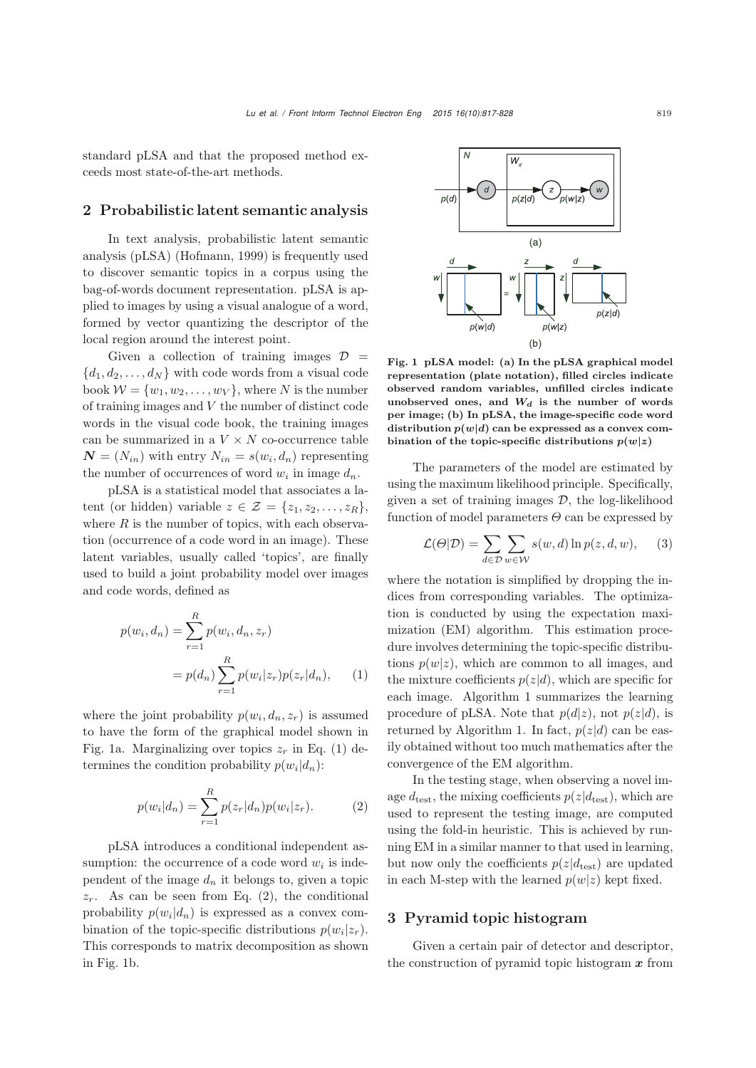standard pLSA and that the proposed method exceeds most state-of-the-art methods.

## 2 Probabilistic latent semantic analysis

In text analysis, probabilistic latent semantic analysis (pLSA) [\(Hofmann, 1999\)](#page-10-1) is frequently used to discover semantic topics in a corpus using the bag-of-words document representation. pLSA is applied to images by using a visual analogue of a word, formed by vector quantizing the descriptor of the local region around the interest point.

Given a collection of training images  $\mathcal{D}$  =  ${d_1, d_2, \ldots, d_N}$  with code words from a visual code book  $W = \{w_1, w_2, \ldots, w_V\}$ , where N is the number of training images and V the number of distinct code words in the visual code book, the training images can be summarized in a  $V \times N$  co-occurrence table  $\mathbf{N} = (N_{in})$  with entry  $N_{in} = s(w_i, d_n)$  representing the number of occurrences of word  $w_i$  in image  $d_n$ .

pLSA is a statistical model that associates a latent (or hidden) variable  $z \in \mathcal{Z} = \{z_1, z_2, \ldots, z_R\},\$ where  $R$  is the number of topics, with each observation (occurrence of a code word in an image). These latent variables, usually called 'topics', are finally used to build a joint probability model over images and code words, defined as

<span id="page-2-1"></span>
$$
p(w_i, d_n) = \sum_{r=1}^{R} p(w_i, d_n, z_r)
$$
  
=  $p(d_n) \sum_{r=1}^{R} p(w_i | z_r) p(z_r | d_n),$  (1)

where the joint probability  $p(w_i, d_n, z_r)$  is assumed to have the form of the graphical model shown in Fig. [1a](#page-2-0). Marginalizing over topics  $z_r$  in Eq. [\(1\)](#page-2-1) determines the condition probability  $p(w_i|d_n)$ :

<span id="page-2-2"></span>
$$
p(w_i|d_n) = \sum_{r=1}^{R} p(z_r|d_n)p(w_i|z_r).
$$
 (2)

pLSA introduces a conditional independent assumption: the occurrence of a code word  $w_i$  is independent of the image  $d_n$  it belongs to, given a topic  $z_r$ . As can be seen from Eq. [\(2\)](#page-2-2), the conditional probability  $p(w_i|d_n)$  is expressed as a convex combination of the topic-specific distributions  $p(w_i|z_r)$ . This corresponds to matrix decomposition as shown in Fig. [1b](#page-2-0).



<span id="page-2-0"></span>Fig. 1 pLSA model: (a) In the pLSA graphical model representation (plate notation), filled circles indicate observed random variables, unfilled circles indicate unobserved ones, and  $W_d$  is the number of words per image; (b) In pLSA, the image-specific code word distribution  $p(w|d)$  can be expressed as a convex combination of the topic-specific distributions  $p(w|z)$ 

The parameters of the model are estimated by using the maximum likelihood principle. Specifically, given a set of training images  $\mathcal{D}$ , the log-likelihood function of model parameters  $\Theta$  can be expressed by

$$
\mathcal{L}(\Theta|\mathcal{D}) = \sum_{d \in \mathcal{D}} \sum_{w \in \mathcal{W}} s(w, d) \ln p(z, d, w), \quad (3)
$$

where the notation is simplified by dropping the indices from corresponding variables. The optimization is conducted by using the expectation maximization (EM) algorithm. This estimation procedure involves determining the topic-specific distributions  $p(w|z)$ , which are common to all images, and the mixture coefficients  $p(z|d)$ , which are specific for each image. Algorithm [1](#page-3-0) summarizes the learning procedure of pLSA. Note that  $p(d|z)$ , not  $p(z|d)$ , is returned by Algorithm [1.](#page-3-0) In fact,  $p(z|d)$  can be easily obtained without too much mathematics after the convergence of the EM algorithm.

In the testing stage, when observing a novel image  $d_{\text{test}}$ , the mixing coefficients  $p(z|d_{\text{test}})$ , which are used to represent the testing image, are computed using the fold-in heuristic. This is achieved by running EM in a similar manner to that used in learning, but now only the coefficients  $p(z|d_{\text{test}})$  are updated in each M-step with the learned  $p(w|z)$  kept fixed.

# 3 Pyramid topic histogram

Given a certain pair of detector and descriptor, the construction of pyramid topic histogram *x* from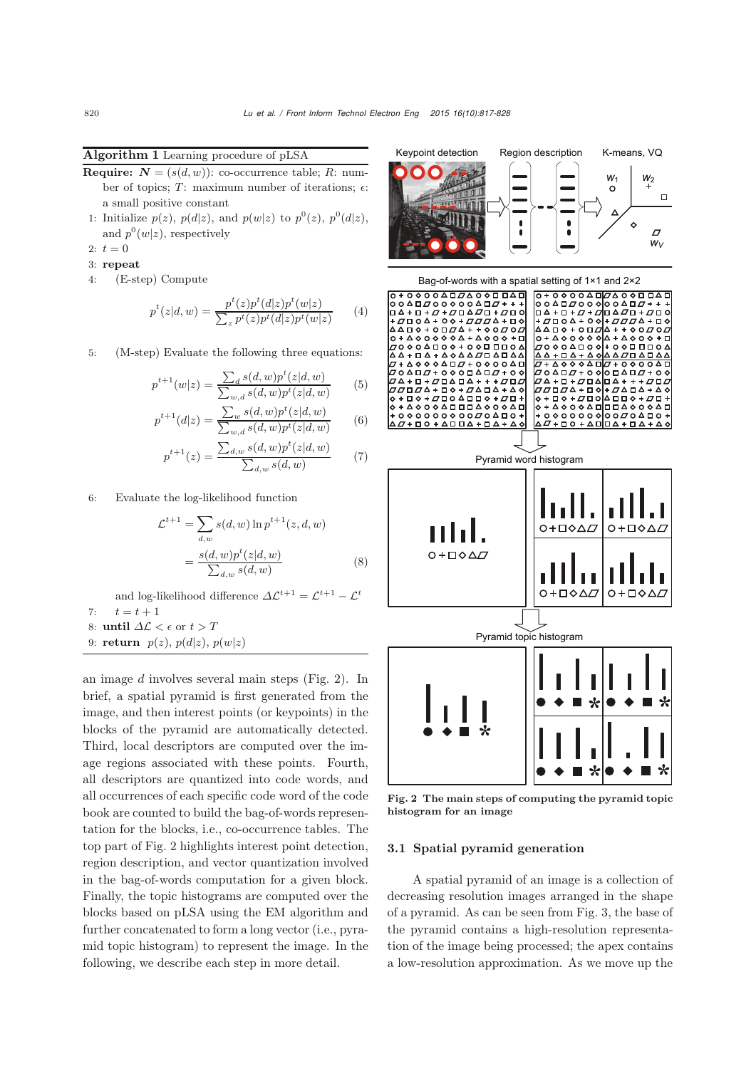<span id="page-3-0"></span>Algorithm 1 Learning procedure of pLSA

- **Require:**  $N = (s(d, w))$ : co-occurrence table; R: number of topics;  $T:$  maximum number of iterations;  $\epsilon$ : a small positive constant
- 1: Initialize  $p(z)$ ,  $p(d|z)$ , and  $p(w|z)$  to  $p^{0}(z)$ ,  $p^{0}(d|z)$ , and  $p^0(w|z)$ , respectively
- 2:  $t = 0$
- 3: repeat
- 4: (E-step) Compute

$$
p^{t}(z|d,w) = \frac{p^{t}(z)p^{t}(d|z)p^{t}(w|z)}{\sum_{z} p^{t}(z)p^{t}(d|z)p^{t}(w|z)}
$$
(4)

5: (M-step) Evaluate the following three equations:

$$
p^{t+1}(w|z) = \frac{\sum_{d} s(d,w)p^{t}(z|d,w)}{\sum_{w,d} s(d,w)p^{t}(z|d,w)}
$$
(5)

$$
p^{t+1}(d|z) = \frac{\sum_{w} s(d, w)p^{t}(z|d, w)}{\sum_{w,d} s(d, w)p^{t}(z|d, w)}
$$
(6)

$$
p^{t+1}(z) = \frac{\sum_{d,w} s(d,w)p^{t}(z|d,w)}{\sum_{d,w} s(d,w)}
$$
(7)

6: Evaluate the log-likelihood function

$$
\mathcal{L}^{t+1} = \sum_{d,w} s(d,w) \ln p^{t+1}(z,d,w)
$$

$$
= \frac{s(d,w)p^{t}(z|d,w)}{\sum_{d,w} s(d,w)}
$$
(8)

and log-likelihood difference  $\Delta \mathcal{L}^{t+1} = \mathcal{L}^{t+1} - \mathcal{L}^t$ <br> $t = t + 1$ 7:  $t = t + 1$ <br>8: **until**  $\Delta \mathcal{L} < \epsilon$  or  $t > T$ 

- 
- 9: return  $p(z)$ ,  $p(d|z)$ ,  $p(w|z)$

an image d involves several main steps (Fig. [2\)](#page-3-1). In brief, a spatial pyramid is first generated from the image, and then interest points (or keypoints) in the blocks of the pyramid are automatically detected. Third, local descriptors are computed over the image regions associated with these points. Fourth, all descriptors are quantized into code words, and all occurrences of each specific code word of the code book are counted to build the bag-of-words representation for the blocks, i.e., co-occurrence tables. The top part of Fig. [2](#page-3-1) highlights interest point detection, region description, and vector quantization involved in the bag-of-words computation for a given block. Finally, the topic histograms are computed over the blocks based on pLSA using the EM algorithm and further concatenated to form a long vector (i.e., pyramid topic histogram) to represent the image. In the following, we describe each step in more detail.



<span id="page-3-1"></span>Fig. 2 The main steps of computing the pyramid topic histogram for an image

#### 3.1 Spatial pyramid generation

A spatial pyramid of an image is a collection of decreasing resolution images arranged in the shape of a pyramid. As can be seen from Fig. [3,](#page-4-0) the base of the pyramid contains a high-resolution representation of the image being processed; the apex contains a low-resolution approximation. As we move up the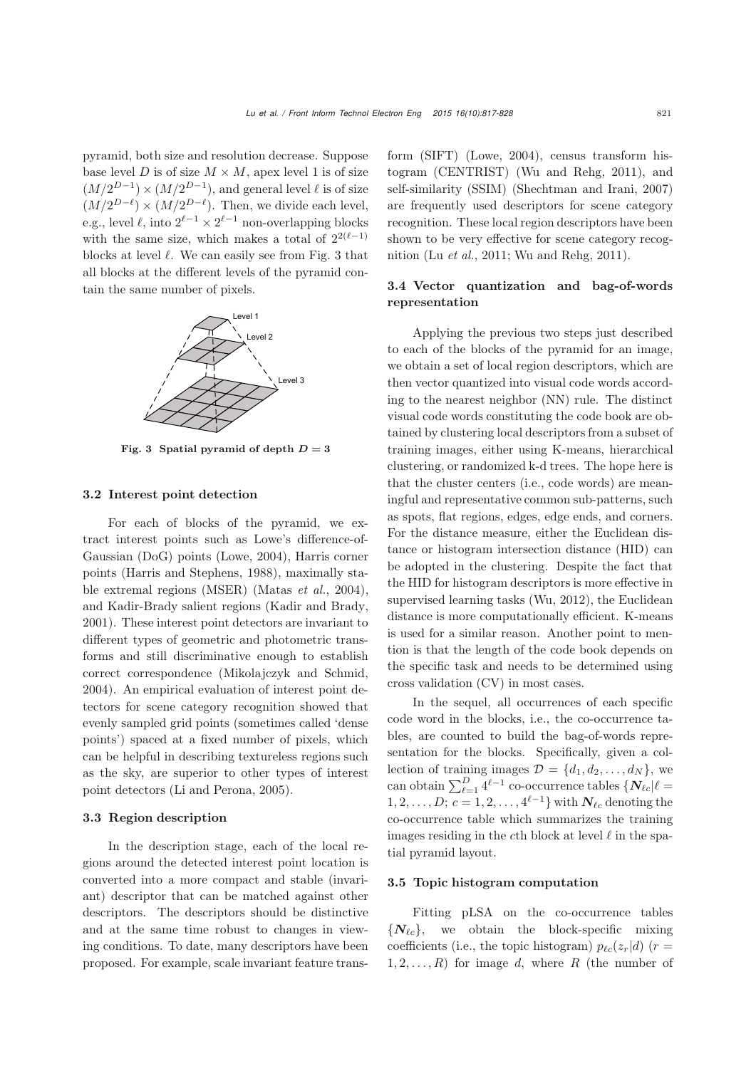pyramid, both size and resolution decrease. Suppose base level D is of size  $M \times M$ , apex level 1 is of size  $(M/2^{D-1}) \times (M/2^{D-1})$ , and general level  $\ell$  is of size  $(M/2^{D-\ell}) \times (M/2^{D-\ell})$ . Then, we divide each level, e.g., level  $\ell$ , into  $2^{\ell-1} \times 2^{\ell-1}$  non-overlapping blocks with the same size, which makes a total of  $2^{2(\ell-1)}$ <br>blocks at lovel  $\ell$ . We see easily see from Fig. 3 that blocks at level  $\ell$ . We can easily see from Fig. [3](#page-4-0) that all blocks at the different levels of the pyramid contain the same number of pixels.



<span id="page-4-0"></span>Fig. 3 Spatial pyramid of depth  $D = 3$ 

## 3.2 Interest point detection

For each of blocks of the pyramid, we extract interest points such as Lowe's difference-of-Gaussian (DoG) points [\(Lowe](#page-10-5), [2004](#page-10-5)), Harris corner points [\(Harris and Stephens](#page-10-2), [1988\)](#page-10-2), maximally stable extremal regions (MSER) [\(Matas](#page-11-6) *et al.*, [2004\)](#page-11-6), and Kadir-Brady salient regions [\(Kadir and Brady,](#page-10-3) [2001](#page-10-3)). These interest point detectors are invariant to different types of geometric and photometric transforms and still discriminative enough to establish correct correspondence [\(Mikolajczyk and Schmid](#page-11-7), [2004](#page-11-7)). An empirical evaluation of interest point detectors for scene category recognition showed that evenly sampled grid points (sometimes called 'dense points') spaced at a fixed number of pixels, which can be helpful in describing textureless regions such as the sky, are superior to other types of interest point detectors [\(Li and Perona, 2005](#page-10-6)).

#### 3.3 Region description

In the description stage, each of the local regions around the detected interest point location is converted into a more compact and stable (invariant) descriptor that can be matched against other descriptors. The descriptors should be distinctive and at the same time robust to changes in viewing conditions. To date, many descriptors have been proposed. For example, scale invariant feature transform (SIFT) [\(Lowe](#page-10-5), [2004](#page-10-5)), census transform histogram (CENTRIST) [\(Wu and Rehg, 2011\)](#page-11-2), and self-similarity (SSIM) [\(Shechtman and Irani, 2007](#page-11-8)) are frequently used descriptors for scene category recognition. These local region descriptors have been shown to be very effective for scene category recognition (Lu *[et al.](#page-11-1)*, [2011;](#page-11-1) [Wu and Rehg](#page-11-2), [2011](#page-11-2)).

# 3.4 Vector quantization and bag-of-words representation

Applying the previous two steps just described to each of the blocks of the pyramid for an image, we obtain a set of local region descriptors, which are then vector quantized into visual code words according to the nearest neighbor (NN) rule. The distinct visual code words constituting the code book are obtained by clustering local descriptors from a subset of training images, either using K-means, hierarchical clustering, or randomized k-d trees. The hope here is that the cluster centers (i.e., code words) are meaningful and representative common sub-patterns, such as spots, flat regions, edges, edge ends, and corners. For the distance measure, either the Euclidean distance or histogram intersection distance (HID) can be adopted in the clustering. Despite the fact that the HID for histogram descriptors is more effective in supervised learning tasks [\(Wu](#page-11-9), [2012](#page-11-9)), the Euclidean distance is more computationally efficient. K-means is used for a similar reason. Another point to mention is that the length of the code book depends on the specific task and needs to be determined using cross validation (CV) in most cases.

In the sequel, all occurrences of each specific code word in the blocks, i.e., the co-occurrence tables, are counted to build the bag-of-words representation for the blocks. Specifically, given a collection of training images  $\mathcal{D} = \{d_1, d_2, \ldots, d_N\}$ , we can obtain  $\sum_{\ell=1}^{D} 4^{\ell-1}$  co-occurrence tables  $\{N_{\ell c} | \ell =$ 1, 2,..., D;  $c = 1, 2, ..., 4^{\ell-1}$ } with  $N_{\ell c}$  denoting the co-occurrence table which summarizes the training images residing in the cth block at level  $\ell$  in the spatial pyramid layout.

#### 3.5 Topic histogram computation

Fitting pLSA on the co-occurrence tables  ${N_{\ell c}}$ , we obtain the block-specific mixing coefficients (i.e., the topic histogram)  $p_{\ell c}(z_r|d)$  ( $r =$ <br>1.2 B) for image d, where B (the number of  $1, 2, \ldots, R$ ) for image d, where R (the number of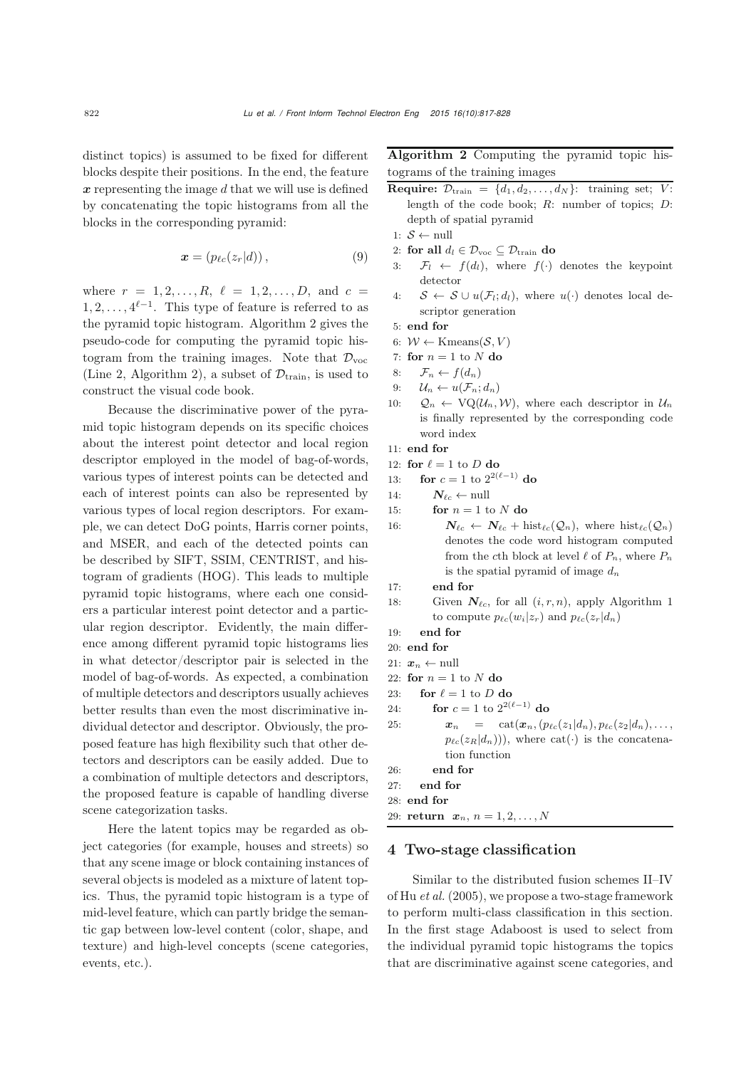distinct topics) is assumed to be fixed for different blocks despite their positions. In the end, the feature *x* representing the image d that we will use is defined by concatenating the topic histograms from all the blocks in the corresponding pyramid:

$$
\boldsymbol{x} = (p_{\ell c}(z_r|d)), \tag{9}
$$

where  $r = 1, 2, ..., R$ ,  $\ell = 1, 2, ..., D$ , and  $c =$  $1, 2, \ldots, 4^{\ell-1}$ . This type of feature is referred to as the pure mid topic histogram. Algorithm 2 gives the the pyramid topic histogram. Algorithm [2](#page-5-0) gives the pseudo-code for computing the pyramid topic histogram from the training images. Note that  $\mathcal{D}_{\text{voc}}$ (Line 2, Algorithm [2\)](#page-5-0), a subset of  $\mathcal{D}_{\text{train}}$ , is used to construct the visual code book.

Because the discriminative power of the pyramid topic histogram depends on its specific choices about the interest point detector and local region descriptor employed in the model of bag-of-words, various types of interest points can be detected and each of interest points can also be represented by various types of local region descriptors. For example, we can detect DoG points, Harris corner points, and MSER, and each of the detected points can be described by SIFT, SSIM, CENTRIST, and histogram of gradients (HOG). This leads to multiple pyramid topic histograms, where each one considers a particular interest point detector and a particular region descriptor. Evidently, the main difference among different pyramid topic histograms lies in what detector/descriptor pair is selected in the model of bag-of-words. As expected, a combination of multiple detectors and descriptors usually achieves better results than even the most discriminative individual detector and descriptor. Obviously, the proposed feature has high flexibility such that other detectors and descriptors can be easily added. Due to a combination of multiple detectors and descriptors, the proposed feature is capable of handling diverse scene categorization tasks.

Here the latent topics may be regarded as object categories (for example, houses and streets) so that any scene image or block containing instances of several objects is modeled as a mixture of latent topics. Thus, the pyramid topic histogram is a type of mid-level feature, which can partly bridge the semantic gap between low-level content (color, shape, and texture) and high-level concepts (scene categories, events, etc.).

<span id="page-5-0"></span>Algorithm 2 Computing the pyramid topic histograms of the training images

- **Require:**  $\mathcal{D}_{\text{train}} = \{d_1, d_2, \ldots, d_N\}$ : training set; V: length of the code book;  $R:$  number of topics;  $D:$ depth of spatial pyramid
- 1:  $S \leftarrow \text{null}$
- 2: for all  $d_l \in \mathcal{D}_{\text{voc}} \subseteq \mathcal{D}_{\text{train}}$ do
- 3:  $\mathcal{F}_l \leftarrow f(d_l)$ , where  $f(\cdot)$  denotes the keypoint detector
- 4:  $S \leftarrow S \cup u(\mathcal{F}_l; d_l)$ , where  $u(\cdot)$  denotes local descriptor generation
- 5: end for
- 6:  $W \leftarrow$  Kmeans $(S, V)$
- 7: for  $n = 1$  to N do<br>8:  $\mathcal{F}_n \leftarrow f(d_n)$
- 8:  $\mathcal{F}_n \leftarrow f(d_n)$ <br>9:  $\mathcal{U}_n \leftarrow u(\mathcal{F}_n;$
- 9:  $\mathcal{U}_n \leftarrow u(\mathcal{F}_n; d_n)$ <br>10:  $\mathcal{Q}_n \leftarrow \text{VO}(\mathcal{U}_n)$
- $\mathcal{Q}_n \leftarrow \text{VQ}(\mathcal{U}_n, \mathcal{W})$ , where each descriptor in  $\mathcal{U}_n$ is finally represented by the corresponding code word index
- 11: end for
- 12: **for**  $\ell = 1$  to D **do**<br>13: **for**  $c = 1$  to  $2^{2(\ell)}$
- 13: **for**  $c = 1$  to  $2^{2(\ell-1)}$  do
- 14:  $N_{\ell c} \leftarrow \text{null}$
- 15: **for**  $n = 1$  to N **do**<br>16:  $N_e \leftarrow N_e + h$
- 16:  $N_{\ell c} \leftarrow N_{\ell c} + \text{hist}_{\ell c}(Q_n)$ , where  $\text{hist}_{\ell c}(Q_n)$ denotes the code word histogram computed from the cth block at level  $\ell$  of  $P_n$ , where  $P_n$ is the spatial pyramid of image  $d_n$

```
17: end for
```
- 18: Given  $N_{\ell c}$ , for all  $(i, r, n)$ , apply Algorithm [1](#page-3-0) to compute  $p_{\ell c}(w_i|z_r)$  and  $p_{\ell c}(z_r|d_n)$
- 19: end for
- 20: end for
- 21:  $x_n \leftarrow \text{null}$
- 22: for  $n = 1$  to N do<br>23: for  $\ell = 1$  to D d
- 23: **for**  $\ell = 1$  to D **do**<br>24: **for**  $c = 1$  to  $2^{2^{(\ell)}}$
- 24: **for**  $c = 1$  to  $2^{2(\ell-1)}$  do
- 25:  $\mathbf{x}_n = \text{cat}(\mathbf{x}_n, (p_{\ell c}(z_1|d_n), p_{\ell c}(z_2|d_n), \ldots,$ <br>  $\mathbf{x}_n(z_1|d_n))$ , where  $\text{cat}(z_1|d_n)$  is the consections  $p_{\ell c}(z_R|d_n))$ , where cat(·) is the concatenation function
- 26: end for
- 27: end for
- 28: end for
- 29: **return**  $x_n, n = 1, 2, ..., N$

## 4 Two-stage classification

Similar to the distributed fusion schemes II–IV of Hu *[et al.](#page-10-7)* [\(2005\)](#page-10-7), we propose a two-stage framework to perform multi-class classification in this section. In the first stage Adaboost is used to select from the individual pyramid topic histograms the topics that are discriminative against scene categories, and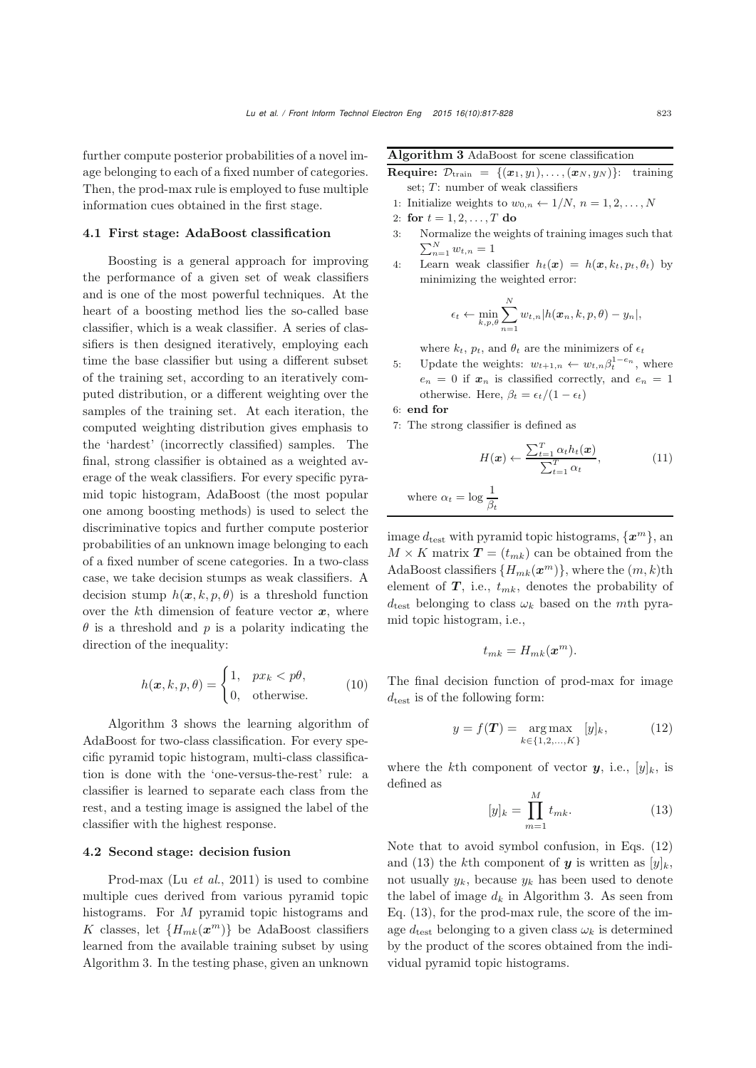further compute posterior probabilities of a novel image belonging to each of a fixed number of categories. Then, the prod-max rule is employed to fuse multiple information cues obtained in the first stage.

#### 4.1 First stage: AdaBoost classification

Boosting is a general approach for improving the performance of a given set of weak classifiers and is one of the most powerful techniques. At the heart of a boosting method lies the so-called base classifier, which is a weak classifier. A series of classifiers is then designed iteratively, employing each time the base classifier but using a different subset of the training set, according to an iteratively computed distribution, or a different weighting over the samples of the training set. At each iteration, the computed weighting distribution gives emphasis to the 'hardest' (incorrectly classified) samples. The final, strong classifier is obtained as a weighted average of the weak classifiers. For every specific pyramid topic histogram, AdaBoost (the most popular one among boosting methods) is used to select the discriminative topics and further compute posterior probabilities of an unknown image belonging to each of a fixed number of scene categories. In a two-class case, we take decision stumps as weak classifiers. A decision stump  $h(x, k, p, \theta)$  is a threshold function over the  $k$ <sup>th</sup> dimension of feature vector  $x$ , where  $\theta$  is a threshold and p is a polarity indicating the direction of the inequality:

$$
h(\boldsymbol{x}, k, p, \theta) = \begin{cases} 1, & px_k < p\theta, \\ 0, & \text{otherwise.} \end{cases}
$$
 (10)

Algorithm [3](#page-6-0) shows the learning algorithm of AdaBoost for two-class classification. For every specific pyramid topic histogram, multi-class classification is done with the 'one-versus-the-rest' rule: a classifier is learned to separate each class from the rest, and a testing image is assigned the label of the classifier with the highest response.

## 4.2 Second stage: decision fusion

Prod-max (Lu *[et al.](#page-11-1)*, [2011\)](#page-11-1) is used to combine multiple cues derived from various pyramid topic histograms. For M pyramid topic histograms and K classes, let  ${H_{mk}(\mathbf{x}^m)}$  be AdaBoost classifiers learned from the available training subset by using Algorithm [3.](#page-6-0) In the testing phase, given an unknown

<span id="page-6-0"></span>Algorithm 3 AdaBoost for scene classification

- **Require:**  $\mathcal{D}_{\text{train}} = \{(\boldsymbol{x}_1, y_1), \ldots, (\boldsymbol{x}_N, y_N)\}$ : training set;  $T$ : number of weak classifiers
- 1: Initialize weights to  $w_{0,n} \leftarrow 1/N$ ,  $n = 1, 2, ..., N$
- 2: for  $t = 1, 2, ..., T$  do<br>3: Normalize the weight
- 3: Normalize the weights of training images such that  $\sum_{n=1}^{N} w_{t,n} = 1$
- 4: Learn weak classifier  $h_t(x) = h(x, k_t, p_t, \theta_t)$  by minimizing the weighted error:

$$
\epsilon_t \leftarrow \min_{k,p,\theta} \sum_{n=1}^N w_{t,n} |h(\boldsymbol{x}_n,k,p,\theta) - y_n|,
$$

where  $k_t$ ,  $p_t$ , and  $\theta_t$  are the minimizers of  $\epsilon_t$ 

- 5: Update the weights:  $w_{t+1,n} \leftarrow w_{t,n} \beta_t^{1-e_n}$ , where  $e_n = 0$  if  $x_n$  is classified correctly, and  $e_n = 1$ otherwise. Here,  $\beta_t = \epsilon_t/(1 - \epsilon_t)$
- 6: end for
- 7: The strong classifier is defined as

$$
H(\boldsymbol{x}) \leftarrow \frac{\sum_{t=1}^{T} \alpha_t h_t(\boldsymbol{x})}{\sum_{t=1}^{T} \alpha_t},
$$
 (11)  
where  $\alpha_t = \log \frac{1}{\beta_t}$ 

image  $d_{\text{test}}$  with pyramid topic histograms,  $\{\boldsymbol{x}^m\}$ , an  $M \times K$  matrix  $\mathbf{T} = (t_{mk})$  can be obtained from the AdaBoost classifiers  $\{H_{mk}(\boldsymbol{x}^m)\}\text{, where the } (m, k)$ th element of  $T$ , i.e.,  $t_{mk}$ , denotes the probability of  $d_{\text{test}}$  belonging to class  $\omega_k$  based on the mth pyramid topic histogram, i.e.,

$$
t_{mk}=H_{mk}(\boldsymbol{x}^m).
$$

The final decision function of prod-max for image  $d_{\text{test}}$  is of the following form:

<span id="page-6-1"></span>
$$
y = f(T) = \underset{k \in \{1, 2, ..., K\}}{\arg \max} [y]_k, \tag{12}
$$

where the kth component of vector  $y$ , i.e.,  $[y]_k$ , is defined as

<span id="page-6-2"></span>
$$
[y]_k = \prod_{m=1}^{M} t_{mk}.
$$
 (13)

Note that to avoid symbol confusion, in Eqs. [\(12\)](#page-6-1) and [\(13\)](#page-6-2) the k<sup>th</sup> component of **y** is written as  $[y]_k$ , not usually  $y_k$ , because  $y_k$  has been used to denote the label of image  $d_k$  in Algorithm [3.](#page-6-0) As seen from Eq. [\(13\)](#page-6-2), for the prod-max rule, the score of the image  $d_{\text{test}}$  belonging to a given class  $\omega_k$  is determined by the product of the scores obtained from the individual pyramid topic histograms.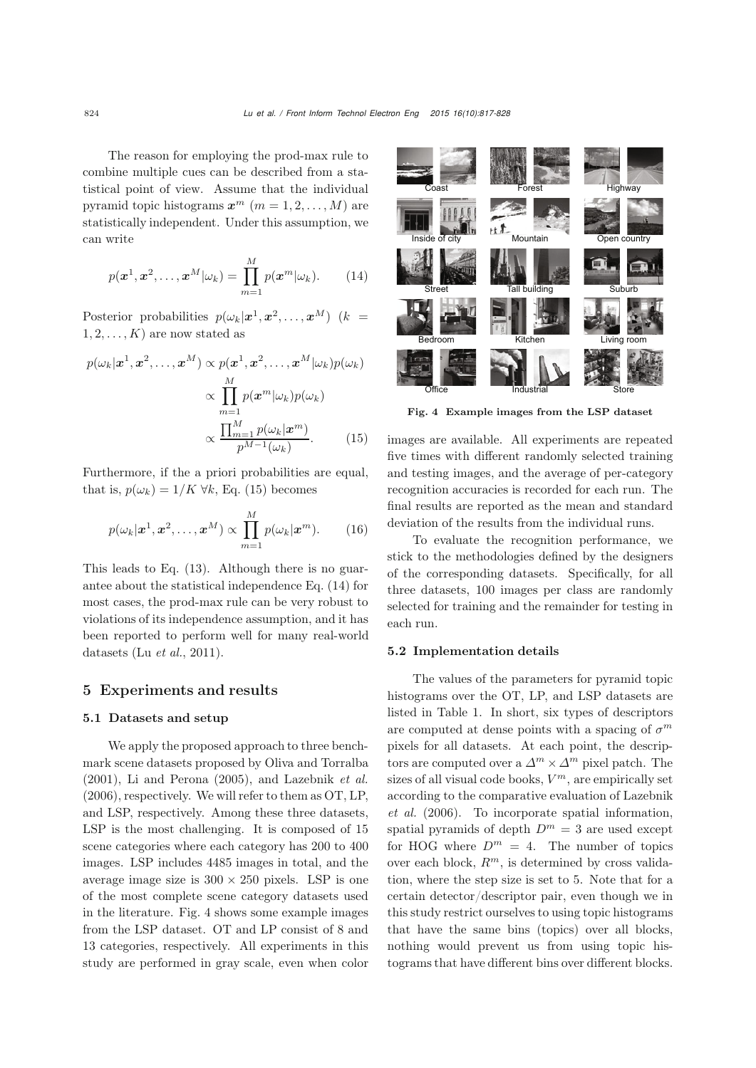The reason for employing the prod-max rule to combine multiple cues can be described from a statistical point of view. Assume that the individual pyramid topic histograms  $x^m$  ( $m = 1, 2, ..., M$ ) are statistically independent. Under this assumption, we can write

<span id="page-7-1"></span>
$$
p(\boldsymbol{x}^1, \boldsymbol{x}^2, \dots, \boldsymbol{x}^M | \omega_k) = \prod_{m=1}^M p(\boldsymbol{x}^m | \omega_k).
$$
 (14)

Posterior probabilities  $p(\omega_k|\mathbf{x}^1, \mathbf{x}^2, ..., \mathbf{x}^M)$  (k =  $1, 2, \ldots, K$  are now stated as

$$
p(\omega_k|\mathbf{x}^1, \mathbf{x}^2, \dots, \mathbf{x}^M) \propto p(\mathbf{x}^1, \mathbf{x}^2, \dots, \mathbf{x}^M|\omega_k)p(\omega_k)
$$

$$
\propto \prod_{m=1}^M p(\mathbf{x}^m|\omega_k)p(\omega_k)
$$

$$
\propto \frac{\prod_{m=1}^M p(\omega_k|\mathbf{x}^m)}{p^{M-1}(\omega_k)}.
$$
(15)

Furthermore, if the a priori probabilities are equal, that is,  $p(\omega_k)=1/K \,\forall k$ , Eq. [\(15\)](#page-7-0) becomes

$$
p(\omega_k|\boldsymbol{x}^1,\boldsymbol{x}^2,\ldots,\boldsymbol{x}^M) \propto \prod_{m=1}^M p(\omega_k|\boldsymbol{x}^m).
$$
 (16)

This leads to Eq. [\(13\)](#page-6-2). Although there is no guarantee about the statistical independence Eq. [\(14\)](#page-7-1) for most cases, the prod-max rule can be very robust to violations of its independence assumption, and it has been reported to perform well for many real-world datasets (Lu *[et al.](#page-11-1)*, [2011\)](#page-11-1).

## 5 Experiments and results

## 5.1 Datasets and setup

We apply the proposed approach to three benchmark scene datasets proposed by [Oliva and Torralba](#page-11-10) [\(2001](#page-11-10)), [Li and Perona](#page-10-6) [\(2005](#page-10-6)), and [Lazebnik](#page-10-0) *et al.* [\(2006](#page-10-0)), respectively. We will refer to them as OT, LP, and LSP, respectively. Among these three datasets, LSP is the most challenging. It is composed of 15 scene categories where each category has 200 to 400 images. LSP includes 4485 images in total, and the average image size is  $300 \times 250$  pixels. LSP is one of the most complete scene category datasets used in the literature. Fig. [4](#page-7-2) shows some example images from the LSP dataset. OT and LP consist of 8 and 13 categories, respectively. All experiments in this study are performed in gray scale, even when color



Fig. 4 Example images from the LSP dataset

<span id="page-7-2"></span><span id="page-7-0"></span>images are available. All experiments are repeated five times with different randomly selected training and testing images, and the average of per-category recognition accuracies is recorded for each run. The final results are reported as the mean and standard deviation of the results from the individual runs.

To evaluate the recognition performance, we stick to the methodologies defined by the designers of the corresponding datasets. Specifically, for all three datasets, 100 images per class are randomly selected for training and the remainder for testing in each run.

#### 5.2 Implementation details

The values of the parameters for pyramid topic histograms over the OT, LP, and LSP datasets are listed in Table [1.](#page-8-0) In short, six types of descriptors are computed at dense points with a spacing of  $\sigma^m$ pixels for all datasets. At each point, the descriptors are computed over a  $\Delta^m \times \Delta^m$  pixel patch. The sizes of all visual code books,  $V^m$ , are empirically set acco[rding](#page-10-0) [to](#page-10-0) [the](#page-10-0) [comparative](#page-10-0) [evaluation](#page-10-0) [of](#page-10-0) Lazebnik *et al.* [\(2006](#page-10-0)). To incorporate spatial information, spatial pyramids of depth  $D^m = 3$  are used except for HOG where  $D^m = 4$ . The number of topics over each block,  $R^m$ , is determined by cross validation, where the step size is set to 5. Note that for a certain detector/descriptor pair, even though we in this study restrict ourselves to using topic histograms that have the same bins (topics) over all blocks, nothing would prevent us from using topic histograms that have different bins over different blocks.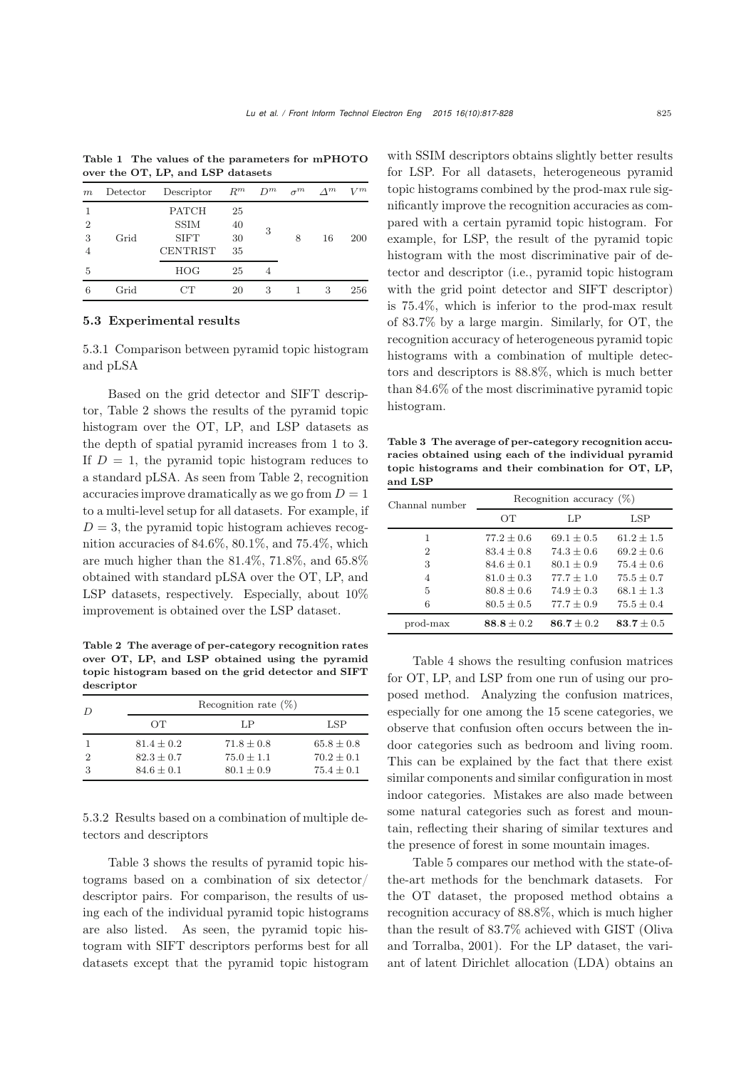| $\frac{1}{2}$ over the $\frac{1}{2}$ , $\frac{1}{2}$ , $\frac{1}{2}$ , and $\frac{1}{2}$ and $\frac{1}{2}$ |          |                                                               |                      |       |            |             |       |  |  |
|------------------------------------------------------------------------------------------------------------|----------|---------------------------------------------------------------|----------------------|-------|------------|-------------|-------|--|--|
| m                                                                                                          | Detector | Descriptor                                                    | $R^m$                | $D^m$ | $\sigma^m$ | $\Lambda^m$ | $V^m$ |  |  |
| $\overline{2}$<br>3<br>4                                                                                   | Grid     | <b>PATCH</b><br><b>SSIM</b><br><b>SIFT</b><br><b>CENTRIST</b> | 25<br>40<br>30<br>35 | 3     | 8          | 16          | 200   |  |  |
| 5                                                                                                          |          | HOG                                                           | 25                   | 4     |            |             |       |  |  |
| 6                                                                                                          | Grid     | CТ                                                            | 20                   | 3     |            | 3           | 256   |  |  |

<span id="page-8-0"></span>Table 1 The values of the parameters for mPHOTO over the OT, LP, and LSP datasets

## 5.3 Experimental results

5.3.1 Comparison between pyramid topic histogram and pLSA

Based on the grid detector and SIFT descriptor, Table [2](#page-8-1) shows the results of the pyramid topic histogram over the OT, LP, and LSP datasets as the depth of spatial pyramid increases from 1 to 3. If  $D = 1$ , the pyramid topic histogram reduces to a standard pLSA. As seen from Table [2,](#page-8-1) recognition accuracies improve dramatically as we go from  $D = 1$ to a multi-level setup for all datasets. For example, if  $D = 3$ , the pyramid topic histogram achieves recognition accuracies of 84.6%, 80.1%, and 75.4%, which are much higher than the 81.4%, 71.8%, and 65.8% obtained with standard pLSA over the OT, LP, and LSP datasets, respectively. Especially, about  $10\%$ improvement is obtained over the LSP dataset.

<span id="page-8-1"></span>Table 2 The average of per-category recognition rates over OT, LP, and LSP obtained using the pyramid topic histogram based on the grid detector and SIFT descriptor

| $\overline{D}$ | Recognition rate $(\%)$ |                |                |  |  |  |  |  |  |
|----------------|-------------------------|----------------|----------------|--|--|--|--|--|--|
|                | OТ                      | LP             | LSP            |  |  |  |  |  |  |
|                | $81.4 \pm 0.2$          | $71.8 \pm 0.8$ | $65.8 \pm 0.8$ |  |  |  |  |  |  |
| $\mathcal{D}$  | $82.3 + 0.7$            | $75.0 \pm 1.1$ | $70.2 \pm 0.1$ |  |  |  |  |  |  |
| 3              | $84.6 \pm 0.1$          | $80.1 \pm 0.9$ | $75.4 \pm 0.1$ |  |  |  |  |  |  |

5.3.2 Results based on a combination of multiple detectors and descriptors

Table [3](#page-8-2) shows the results of pyramid topic histograms based on a combination of six detector/ descriptor pairs. For comparison, the results of using each of the individual pyramid topic histograms are also listed. As seen, the pyramid topic histogram with SIFT descriptors performs best for all datasets except that the pyramid topic histogram

with SSIM descriptors obtains slightly better results for LSP. For all datasets, heterogeneous pyramid topic histograms combined by the prod-max rule significantly improve the recognition accuracies as compared with a certain pyramid topic histogram. For example, for LSP, the result of the pyramid topic histogram with the most discriminative pair of detector and descriptor (i.e., pyramid topic histogram with the grid point detector and SIFT descriptor) is 75.4%, which is inferior to the prod-max result of 83.7% by a large margin. Similarly, for OT, the recognition accuracy of heterogeneous pyramid topic histograms with a combination of multiple detectors and descriptors is 88.8%, which is much better than 84.6% of the most discriminative pyramid topic histogram.

<span id="page-8-2"></span>Table 3 The average of per-category recognition accuracies obtained using each of the individual pyramid topic histograms and their combination for OT, LP, and LSP

| Channal number | Recognition accuracy $(\%)$ |                |                |  |  |  |  |  |
|----------------|-----------------------------|----------------|----------------|--|--|--|--|--|
|                | OТ                          | LP             | LSP            |  |  |  |  |  |
| 1              | $77.2 \pm 0.6$              | $69.1 + 0.5$   | $61.2 + 1.5$   |  |  |  |  |  |
| $\mathfrak{D}$ | $83.4 + 0.8$                | $74.3 + 0.6$   | $69.2 \pm 0.6$ |  |  |  |  |  |
| 3              | $84.6 + 0.1$                | $80.1 + 0.9$   | $75.4 + 0.6$   |  |  |  |  |  |
| 4              | $81.0 \pm 0.3$              | $77.7 + 1.0$   | $75.5 \pm 0.7$ |  |  |  |  |  |
| 5              | $80.8 + 0.6$                | $74.9 + 0.3$   | $68.1 + 1.3$   |  |  |  |  |  |
| 6              | $80.5 \pm 0.5$              | $77.7 \pm 0.9$ | $75.5 \pm 0.4$ |  |  |  |  |  |
| prod-max       | $88.8 + 0.2$                | 86.7 $\pm$ 0.2 | 83.7 $\pm$ 0.5 |  |  |  |  |  |

Table [4](#page-9-0) shows the resulting confusion matrices for OT, LP, and LSP from one run of using our proposed method. Analyzing the confusion matrices, especially for one among the 15 scene categories, we observe that confusion often occurs between the indoor categories such as bedroom and living room. This can be explained by the fact that there exist similar components and similar configuration in most indoor categories. Mistakes are also made between some natural categories such as forest and mountain, reflecting their sharing of similar textures and the presence of forest in some mountain images.

Table [5](#page-10-8) compares our method with the state-ofthe-art methods for the benchmark datasets. For the OT dataset, the proposed method obtains a recognition accuracy of 88.8%, which is much higher than the result of 83.7% [achieved](#page-11-10) [with](#page-11-10) [GIST](#page-11-10) [\(](#page-11-10)Oliva and Torralba, [2001](#page-11-10)). For the LP dataset, the variant of latent Dirichlet allocation (LDA) obtains an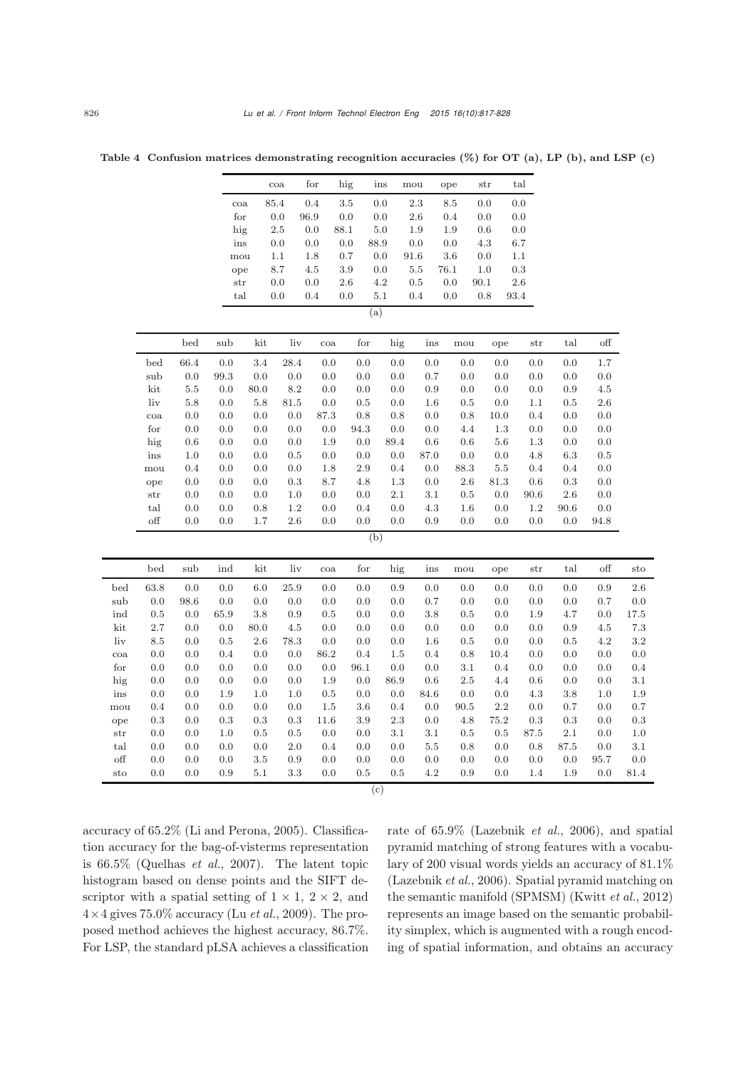<span id="page-9-0"></span>

|              |              |         |         |          | $\cos$  | for  | hig     | ins       | mou     |         | ope     | str  | tal       |         |          |              |      |
|--------------|--------------|---------|---------|----------|---------|------|---------|-----------|---------|---------|---------|------|-----------|---------|----------|--------------|------|
|              |              |         |         | coa      | 85.4    | 0.4  | $3.5\,$ | 0.0       | 2.3     |         | $8.5\,$ | 0.0  | $0.0\,$   |         |          |              |      |
|              |              |         |         | for      | 0.0     | 96.9 | 0.0     | 0.0       | 2.6     |         | 0.4     | 0.0  | $0.0\,$   |         |          |              |      |
|              |              |         |         | hig      | $2.5\,$ | 0.0  | 88.1    | 5.0       | 1.9     |         | 1.9     | 0.6  | 0.0       |         |          |              |      |
|              |              |         |         | ins      | 0.0     | 0.0  | 0.0     | 88.9      | 0.0     |         | 0.0     | 4.3  | $6.7\,$   |         |          |              |      |
|              |              |         |         | mou      | 1.1     | 1.8  | 0.7     | 0.0       | 91.6    |         | 3.6     | 0.0  | 1.1       |         |          |              |      |
|              |              |         |         | ope      | 8.7     | 4.5  | 3.9     | 0.0       | $5.5\,$ |         | 76.1    | 1.0  | $\rm 0.3$ |         |          |              |      |
|              |              |         |         | str      | 0.0     | 0.0  | 2.6     | 4.2       | 0.5     |         | 0.0     | 90.1 | $2.6\,$   |         |          |              |      |
|              |              |         |         | tal      | 0.0     | 0.4  | 0.0     | 5.1       | 0.4     |         | 0.0     | 0.8  | $93.4\,$  |         |          |              |      |
|              |              |         |         |          |         |      |         | (a)       |         |         |         |      |           |         |          |              |      |
|              |              | bed     | sub     | kit      | liv     | coa  | for     | hig       |         | ins     | mou     |      | ope       | str     | tal      | $_{\rm off}$ |      |
|              | bed          | 66.4    | 0.0     | 3.4      | 28.4    | 0.0  | 0.0     | $0.0\,$   |         | 0.0     | 0.0     |      | 0.0       | 0.0     | 0.0      | $1.7\,$      |      |
|              | sub          | $0.0\,$ | 99.3    | 0.0      | 0.0     | 0.0  | 0.0     | 0.0       |         | 0.7     | 0.0     |      | 0.0       | 0.0     | 0.0      | 0.0          |      |
|              | kit          | $5.5\,$ | 0.0     | 80.0     | $8.2\,$ | 0.0  | 0.0     | 0.0       |         | 0.9     | 0.0     |      | 0.0       | 0.0     | 0.9      | $4.5\,$      |      |
|              | liv          | 5.8     | 0.0     | 5.8      | 81.5    | 0.0  | 0.5     | 0.0       |         | 1.6     | 0.5     |      | 0.0       | 1.1     | 0.5      | 2.6          |      |
|              | $\cos$       | 0.0     | 0.0     | 0.0      | 0.0     | 87.3 | 0.8     | 0.8       |         | 0.0     | 0.8     |      | 10.0      | 0.4     | 0.0      | 0.0          |      |
|              | for          | $0.0\,$ | 0.0     | 0.0      | 0.0     | 0.0  | 94.3    | 0.0       |         | 0.0     | 4.4     |      | 1.3       | 0.0     | 0.0      | 0.0          |      |
|              | hig          | 0.6     | 0.0     | 0.0      | 0.0     | 1.9  | 0.0     | 89.4      |         | 0.6     | 0.6     |      | 5.6       | 1.3     | 0.0      | $0.0\,$      |      |
|              | ins          | 1.0     | 0.0     | 0.0      | 0.5     | 0.0  | 0.0     | 0.0       |         | 87.0    | 0.0     |      | 0.0       | 4.8     | 6.3      | $0.5\,$      |      |
|              | mou          | 0.4     | 0.0     | 0.0      | 0.0     | 1.8  | $2.9\,$ | 0.4       |         | 0.0     | 88.3    |      | 5.5       | 0.4     | 0.4      | $0.0\,$      |      |
|              | ope          | 0.0     | 0.0     | 0.0      | 0.3     | 8.7  | 4.8     |           | 1.3     | 0.0     | 2.6     | 81.3 |           | 0.6     | 0.3      | $0.0\,$      |      |
|              | str          | 0.0     | 0.0     | 0.0      | 1.0     | 0.0  | 0.0     | 2.1       |         | $3.1\,$ | 0.5     |      | 0.0       | 90.6    | 2.6      | 0.0          |      |
|              | $_{\rm tal}$ | 0.0     | 0.0     | 0.8      | $1.2\,$ | 0.0  | 0.4     | 0.0       |         | $4.3\,$ | 1.6     |      | 0.0       | $1.2\,$ | $90.6\,$ | $0.0\,$      |      |
|              | off          | 0.0     | 0.0     | 1.7      | 2.6     | 0.0  | 0.0     | 0.0       |         | 0.9     | 0.0     |      | 0.0       | 0.0     | 0.0      | 94.8         |      |
|              |              |         |         |          |         |      |         | (b)       |         |         |         |      |           |         |          |              |      |
|              | bed          | sub     | ind     | kit      | liv     | coa  | for     | hig       |         | ins     | mou     |      | ope       | str     | tal      | off          | sto  |
| bed          | 63.8         | $0.0\,$ | $0.0\,$ | 6.0      | 25.9    | 0.0  | 0.0     | $\rm 0.9$ |         | 0.0     | 0.0     |      | 0.0       | 0.0     | 0.0      | 0.9          | 2.6  |
| sub          | 0.0          | 98.6    | 0.0     | 0.0      | 0.0     | 0.0  | 0.0     | 0.0       |         | 0.7     | 0.0     |      | 0.0       | 0.0     | 0.0      | 0.7          | 0.0  |
| ind          | 0.5          | 0.0     | 65.9    | 3.8      | 0.9     | 0.5  | 0.0     | 0.0       |         | 3.8     | 0.5     |      | 0.0       | 1.9     | 4.7      | 0.0          | 17.5 |
| kit          | 2.7          | 0.0     | 0.0     | $80.0\,$ | 4.5     | 0.0  | 0.0     | 0.0       |         | 0.0     | 0.0     |      | 0.0       | 0.0     | 0.9      | $4.5\,$      | 7.3  |
| liv          | 8.5          | 0.0     | 0.5     | 2.6      | 78.3    | 0.0  | 0.0     | 0.0       |         | 1.6     | 0.5     |      | 0.0       | 0.0     | 0.5      | $4.2\,$      | 3.2  |
| $_{\rm coa}$ | 0.0          | 0.0     | 0.4     | 0.0      | 0.0     | 86.2 | 0.4     | 1.5       |         | 0.4     | 0.8     |      | 10.4      | 0.0     | 0.0      | 0.0          | 0.0  |
| for          | 0.0          | 0.0     | 0.0     | 0.0      | 0.0     | 0.0  | 96.1    | 0.0       |         | 0.0     | $3.1\,$ |      | 0.4       | 0.0     | 0.0      | 0.0          | 0.4  |
| hig          | 0.0          | 0.0     | 0.0     | 0.0      | 0.0     | 1.9  | 0.0     | 86.9      |         | 0.6     | $2.5\,$ |      | 4.4       | 0.6     | 0.0      | 0.0          | 3.1  |
| ins          | 0.0          | 0.0     | 1.9     | 1.0      | 1.0     | 0.5  | 0.0     | 0.0       |         | 84.6    | 0.0     |      | 0.0       | 4.3     | 3.8      | 1.0          | 1.9  |
| mou          | 0.4          | 0.0     | 0.0     | 0.0      | 0.0     | 1.5  | 3.6     | 0.4       |         | 0.0     | 90.5    |      | 2.2       | 0.0     | 0.7      | $0.0\,$      | 0.7  |
| ope          | 0.3          | 0.0     | 0.3     | 0.3      | 0.3     | 11.6 | 3.9     |           | 2.3     | 0.0     | 4.8     |      | 75.2      | 0.3     | 0.3      | 0.0          | 0.3  |
| str          | 0.0          | 0.0     | 1.0     | 0.5      | 0.5     | 0.0  | 0.0     | 3.1       |         | 3.1     | $0.5\,$ |      | 0.5       | 87.5    | 2.1      | 0.0          | 1.0  |
| tal          | $0.0\,$      | 0.0     | 0.0     | $0.0\,$  | 2.0     | 0.4  | 0.0     | 0.0       |         | $5.5\,$ | 0.8     |      | 0.0       | 0.8     | $87.5\,$ | $0.0\,$      | 3.1  |
| $_{\rm off}$ | 0.0          | 0.0     | 0.0     | 3.5      | 0.9     | 0.0  | $0.0\,$ | 0.0       |         | 0.0     | 0.0     |      | 0.0       | 0.0     | 0.0      | 95.7         | 0.0  |
| $_{\rm sto}$ | 0.0          | 0.0     | 0.9     | 5.1      | 3.3     | 0.0  | 0.5     | 0.5       |         | 4.2     | 0.9     |      | 0.0       | 1.4     | 1.9      | 0.0          | 81.4 |

Table 4 Confusion matrices demonstrating recognition accuracies  $(\%)$  for OT (a), LP (b), and LSP (c)

 $(c)$ 

accuracy of 65.2% [\(Li and Perona](#page-10-6), [2005\)](#page-10-6). Classification accuracy for the bag-of-visterms representation is 66.5% [\(Quelhas](#page-11-4) *et al.*, [2007](#page-11-4)). The latent topic histogram based on dense points and the SIFT descriptor with a spatial setting of  $1 \times 1$ ,  $2 \times 2$ , and  $4 \times 4$  gives 75.0% accuracy (Lu *[et al.](#page-11-5)*, [2009\)](#page-11-5). The proposed method achieves the highest accuracy, 86.7%. For LSP, the standard pLSA achieves a classification rate of 65.9% [\(Lazebnik](#page-10-0) *et al.*, [2006\)](#page-10-0), and spatial pyramid matching of strong features with a vocabulary of 200 visual words yields an accuracy of 81.1% [\(Lazebnik](#page-10-0) *et al.*, [2006](#page-10-0)). Spatial pyramid matching on the semantic manifold (SPMSM) [\(Kwitt](#page-10-9) *et al.*, [2012](#page-10-9)) represents an image based on the semantic probability simplex, which is augmented with a rough encoding of spatial information, and obtains an accuracy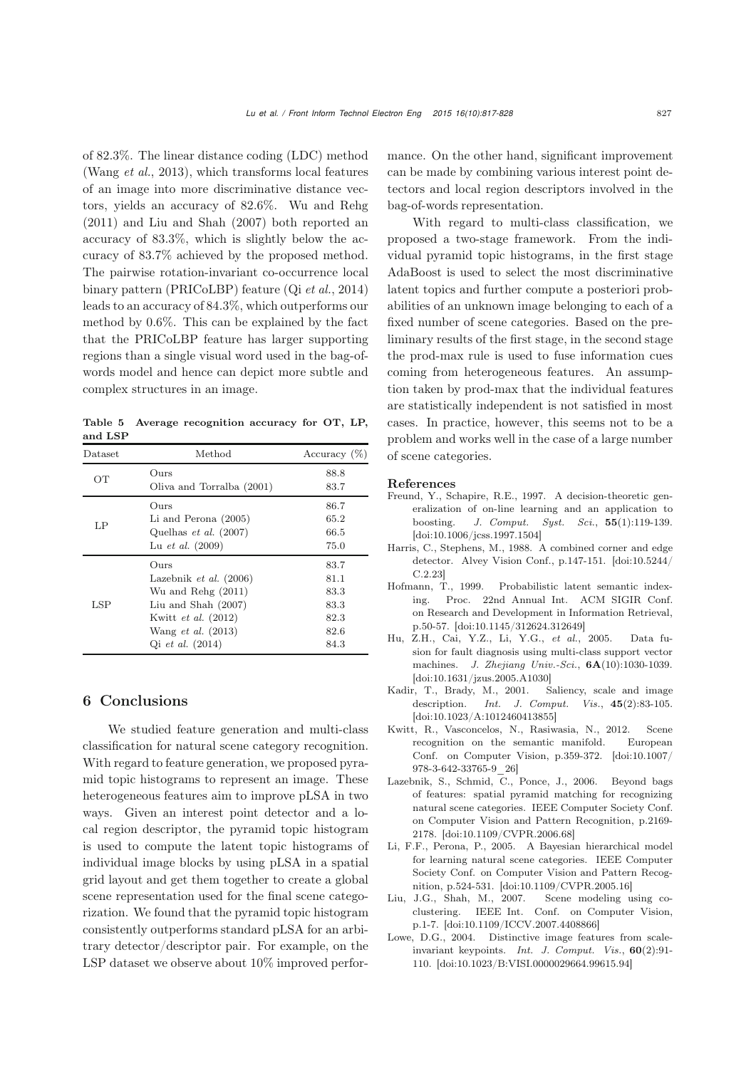of 82.3%. The linear distance coding (LDC) method [\(Wang](#page-11-11) *et al.*, [2013](#page-11-11)), which transforms local features of an image into more discriminative distance vectors, yields an accuracy of 82.6%. Wu and Rehg (2011) and Liu and Shah (2007) both reported an accuracy of 83.3%, which is slightly below the accuracy of 83.7% achieved by the proposed method. The pairwise rotation-invariant co-occurrence local binary pattern (PRICoLBP) feature (Qi *[et al.](#page-11-3)*, [2014\)](#page-11-3) leads to an accuracy of 84.3%, which outperforms our method by 0.6%. This can be explained by the fact that the PRICoLBP feature has larger supporting regions than a single visual word used in the bag-ofwords model and hence can depict more subtle and complex structures in an image.

<span id="page-10-8"></span>Table 5 Average recognition accuracy for OT, LP, and LSP

| Dataset | Method                          | Accuracy $(\%)$ |
|---------|---------------------------------|-----------------|
| OT      | Ours                            | 88.8            |
|         | Oliva and Torralba (2001)       | 83.7            |
|         | $_{\rm Ours}$                   | 86.7            |
| LP      | Li and Perona (2005)            | 65.2            |
|         | Quelhas <i>et al.</i> $(2007)$  | 66.5            |
|         | Lu <i>et al.</i> $(2009)$       | 75.0            |
|         | Ours                            | 83.7            |
|         | Lazebnik <i>et al.</i> $(2006)$ | 81.1            |
|         | Wu and Rehg $(2011)$            | 83.3            |
| LSP     | Liu and Shah $(2007)$           | 83.3            |
|         | Kwitt et al. (2012)             | 82.3            |
|         | Wang <i>et al.</i> $(2013)$     | 82.6            |
|         | Qi <i>et al.</i> $(2014)$       | 84.3            |

# 6 Conclusions

We studied feature generation and multi-class classification for natural scene category recognition. With regard to feature generation, we proposed pyramid topic histograms to represent an image. These heterogeneous features aim to improve pLSA in two ways. Given an interest point detector and a local region descriptor, the pyramid topic histogram is used to compute the latent topic histograms of individual image blocks by using pLSA in a spatial grid layout and get them together to create a global scene representation used for the final scene categorization. We found that the pyramid topic histogram consistently outperforms standard pLSA for an arbitrary detector/descriptor pair. For example, on the LSP dataset we observe about 10% improved performance. On the other hand, significant improvement can be made by combining various interest point detectors and local region descriptors involved in the bag-of-words representation.

With regard to multi-class classification, we proposed a two-stage framework. From the individual pyramid topic histograms, in the first stage AdaBoost is used to select the most discriminative latent topics and further compute a posteriori probabilities of an unknown image belonging to each of a fixed number of scene categories. Based on the preliminary results of the first stage, in the second stage the prod-max rule is used to fuse information cues coming from heterogeneous features. An assumption taken by prod-max that the individual features are statistically independent is not satisfied in most cases. In practice, however, this seems not to be a problem and works well in the case of a large number of scene categories.

#### References

- <span id="page-10-4"></span>Freund, Y., Schapire, R.E., 1997. A decision-theoretic generalization of on-line learning and an application to boosting. *J. Comput. Syst. Sci.*, 55(1):119-139.  $\left[ \text{doi:10.1006}/\text{j}\text{css}.1997.1504 \right]$
- <span id="page-10-2"></span>Harris, C., Stephens, M., 1988. A combined corner and edge detector. Alvey Vision Conf., p.147-151. [\[doi:10.5244/](http://dx.doi.org/10.5244/C.2.23) [C.2.23\]](http://dx.doi.org/10.5244/C.2.23)
- <span id="page-10-1"></span>Hofmann, T., 1999. Probabilistic latent semantic indexing. Proc. 22nd Annual Int. ACM SIGIR Conf. on Research and Development in Information Retrieval, p.50-57. [\[doi:10.1145/312624.312649\]](http://dx.doi.org/10.1145/312624.312649)
- <span id="page-10-7"></span>Hu, Z.H., Cai, Y.Z., Li, Y.G., *et al.*, 2005. Data fusion for fault diagnosis using multi-class support vector machines. *J. Zhejiang Univ.-Sci.*, 6A(10):1030-1039. [\[doi:10.1631/jzus.2005.A1030\]](http://dx.doi.org/10.1631/jzus.2005.A1030)
- <span id="page-10-3"></span>Kadir, T., Brady, M., 2001. Saliency, scale and image description. *Int. J. Comput. Vis.*, 45(2):83-105. [\[doi:10.1023/A:1012460413855\]](http://dx.doi.org/10.1023/A:1012460413855)
- <span id="page-10-9"></span>Kwitt, R., Vasconcelos, N., Rasiwasia, N., 2012. Scene recognition on the semantic manifold. European Conf. on Computer Vision, p.359-372. [\[doi:10.1007/](http://dx.doi.org/10.1007/978-3-642-33765-9_26) [978-3-642-33765-9\\_26\]](http://dx.doi.org/10.1007/978-3-642-33765-9_26)
- <span id="page-10-0"></span>Lazebnik, S., Schmid, C., Ponce, J., 2006. Beyond bags of features: spatial pyramid matching for recognizing natural scene categories. IEEE Computer Society Conf. on Computer Vision and Pattern Recognition, p.2169- 2178. [\[doi:10.1109/CVPR.2006.68\]](http://dx.doi.org/10.1109/CVPR.2006.68)
- <span id="page-10-6"></span>Li, F.F., Perona, P., 2005. A Bayesian hierarchical model for learning natural scene categories. IEEE Computer Society Conf. on Computer Vision and Pattern Recognition, p.524-531. [\[doi:10.1109/CVPR.2005.16\]](http://dx.doi.org/10.1109/CVPR.2005.16)
- <span id="page-10-10"></span>Liu, J.G., Shah, M., 2007. Scene modeling using coclustering. IEEE Int. Conf. on Computer Vision, p.1-7. [\[doi:10.1109/ICCV.2007.4408866\]](http://dx.doi.org/10.1109/ICCV.2007.4408866)
- <span id="page-10-5"></span>Lowe, D.G., 2004. Distinctive image features from scaleinvariant keypoints. *Int. J. Comput. Vis.*, 60(2):91- 110. [\[doi:10.1023/B:VISI.0000029664.99615.94\]](http://dx.doi.org/10.1023/B:VISI.0000029664.99615.94)